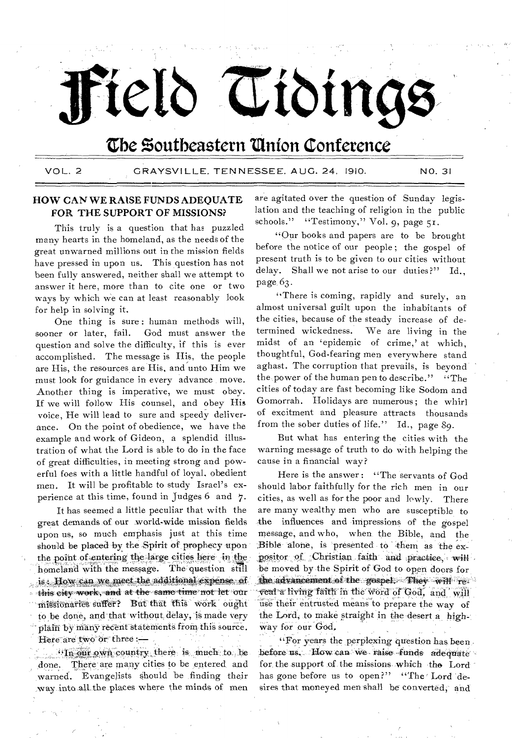# Field Tidings

# The Southeastern Union Conference

VOL. 2 GRAYSV1LLE, TENNESSEE, AUG. 24, 1910. NO. 31

# HOW CAN WE RAISE FUNDS ADEQUATE FOR THE SUPPORT OF MISSIONS?

This truly is a question that has puzzled many hearts in the homeland, as the needs of the great unwarned millions out in the mission fields have pressed in upon us. This question has not been fully answered, neither shall we attempt to answer it here, more than to cite one or two ways by which we can at least reasonably look for help in solving it.

One thing is sure : human methods will, sooner or later, fail. God must answer the question and solve the difficulty, if this is ever accomplished. The message is His, the people are His, the resources are His, and unto Him we must look for guidance in every advance , move. Another thing is imperative, we must obey. If we will follow His counsel, and obey His voice, He will lead to sure and speedy deliverance. On the point of obedience, we have the example and work of Gideon, a splendid illustration of what the Lord is able to do in the face of great difficulties, in meeting strong and powerful foes with a little handful of loyal, obedient men. It will be profitable to study Israel's experience at this time, found in Judges 6 and 7.

It has seemed a little peculiar that with the great demands of our world-wide mission-fields upon us, so much emphasis just at this time should be placed by the Spirit of prophecy upon the point of entering the large cities here in the homeland with the message. The question still is. How can we meet the additional expense of 'this city work, and at• the same time• not let oar missionaries suffer? But that this work ought to be done, and that without delay, is made very plain by many recent statements from this source. Here are two or three :-

 $n_{\text{max}}$  own country there is much to be done. There are many cities to be entered, and warned. Evangelists should be finding their way.into.alLthe.places where the minds of men

are agitated over the question of Sunday legislation and the teaching of religion in the public schools." "Testimony," Vol. 9, page 51.

"Our books and papers are to be brought before the notice of our people ; the gospel of present truth is to be given to our cities without delay. Shall we not arise to our duties?" Id., page, 63.

"There is coming, rapidly and surely, an almost universal guilt upon the inhabitants of the cities, because of the steady increase of determined wickedness. We are living in the midst of an 'epidemic of crime,' at which, thoughtful, God-fearing men everywhere stand aghast. The corruption that prevails, is beyond' the,power of the human pen to describe." "The cities of today are fast becoming like Sodom and Gomorrah. Holidays are numerous; the whirl of excitment and pleasure attracts thousands from the sober duties of life." Id., page 89.

But what has entering the cities with the warning message of truth to do with helping the cause in a financial way?

Here is the answer : "The servants of God should labor faithfully for the rich men in our cities, as well as for the poor and lowly. There are many wealthy men who are susceptible to the influences and impressions of the gospel message; and who, when, the Bible, and the Bible alone, is presented to them as the expositor of Christian faith and practice, will be moved by the Spirit of God to open doors for, the advancement of the gospel. They will reveal a living faith in the word of God, and will use their entrusted means to prepare the way of the Lord, to make straight in the desert a highway for our God,

"For years the perplexing question has been. before us. How can we raise funds adequate for the support of the missions which the Lord has gone before us to open?" "The Lord desires that moneyed men shall be converted, and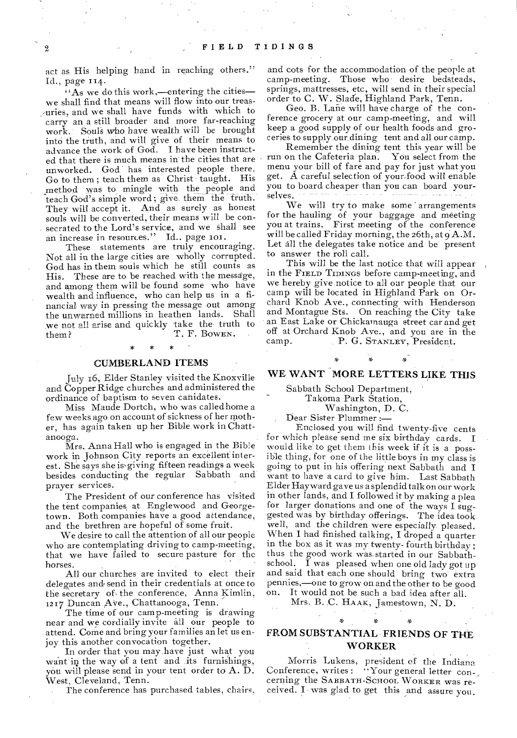act as His helping hand in reaching others." Id., page 114.

"As we do this work,—entering the cities we shall find that means will flow into our treas- -uries, and we shall have funds with which to carry an a still broader and more far-reaching work. Souls who have wealth will be brought into the truth, and will give of their means to advance the work of God. I have been instructed that there is much means in the cities that are unworked. God has interested people there. Go to them; teach them as Christ taught. His method was to mingle with the people and teach God's simple word ; give them the truth. They will accept it. And as surely as honest souls will be converted, their means will be consecrated to the Lord's service, and we shall see an increase in resources." Id., page 101.

These statements are truly encouraging. Not all in the large cities are wholly corrupted. God has in them souls which he still counts as His. These are to be reached with the message, and among them will be found some who have wealth and influence, who can help us in a financial way in pressing the message out among the unwarned millions in heathen lands. Shall we not all arise and quickly take the truth to<br>T. F. Bowen. T. F. BOWEN.

# CUMBERLAND ITEMS

July 16, Elder Stanley visited the Knoxville and Copper Ridge churches and administered the ordinance of baptism to seven canidates.

Miss Maude Dortch, who was called home a few weeks ago on account of sickness of her mother, has again taken up her Bible work in Chattanooga.

Mrs. Anna Hall who is engaged in the Bible work in Johnson City reports an excellent interest. She says she is-giving fifteen readings a week besides conducting the regular Sabbath and prayer services.

The President of our conference has visited the tent companies at Englewood and Georgetown. Both companies have a good attendance, and the brethren are hopeful of some fruit.

We desire to call the attention of all our people who are contemplating driving to camp-meeting, that we have failed to secure pasture for the horses.

All our churches are invited to elect their delegates and• send in their credentials at once to the secretary of, the conference, Anna Kimlin, 1217 Duncan Ave., Chattanooga, Tenn.

The time of our camp-meeting is drawing near and we cordially invite all our people to attend. Come and bring your families an let us enjoy this another convocation together.

In order that you may have just what you want in the way of a tent and its furnishings, you will please send in your tent order to A. D. West, Cleveland, Tenn.

The conference has purchased tables, chairs,

and cots for the accommodation of the people at camp-meeting. Those who • desire bedsteads, springs, mattresses, etc, will send in their special order to C. W. Slade, Highland Park, Tenn.

Geo. B. Lane will have charge of the conference grocery at our camp-meeting, and will keep a good supply of our health foods and groceries to supply.our dining tent and all our camp.

Remember the dining tent this year will be run on the Cafeteria plan. menu your bill of fare and pay for just what you get. A careful selection of your-food will enable you to board cheaper than you can board yourselves.

We will try to make some arrangements for the hauling of your baggage and meeting you at trains. First meeting of the conference will be called Friday morning, the 26th, at  $9A.M$ . Let all the delegates take notice and be present to answer the roll call.

This will be the last notice that will appear in the FIELD TIDINGS before camp-meeting, and we hereby give notice to all our people that our camp will be located in Highland Park on Orchard Knob Ave., connecting with Henderson and Montague Sts. On reaching the City take an East Lake or Chickamauga street car and get off at Orchard Knob Ave., and you are in the camp.<br>P. G. STANLEY, President. P. G. STANLEY, President.

# WE WANT MORE LETTERS LIKE THIS

Sabbath School Department,

Takoma Park Station,

Washington, D. C.

Dear Sister Plummer :—

Enclosed you will find twenty-five cents for which please send me six birthday cards. I would like to get them this week if it is a possible thing, for one of the little boys in my class is going to put in his offering next Sabbath and I want to have a card to give him. Last Sabbath Elder Hayward gave us a splendid talk on our work in other lands, and I followed it by making a plea for larger donations and one of the ways I suggested was by birthday offerings. The idea took well, and the children were especially pleased. When I had finished talking, I droped a quarter in the box as it was my twenty- fourth birthday ; thus the good work was. started in our Sabbathschool.  $\bar{I}$  was pleased when one old lady got up and said that each one should bring two' extra pennies,—one to grow on and the other to be good It would not be such a bad idea after all.

Mrs. B..C. HAAK, Jamestown, N. D.

# FROM SUBSTANTIAL FRIENDS OF THE WORKER

Morris Lukens, president of the Indiana Conference, writes: "Your general letter con-, cerning the SABBATH-SCHOOL WORKER was received. I was glad to get this and assure you.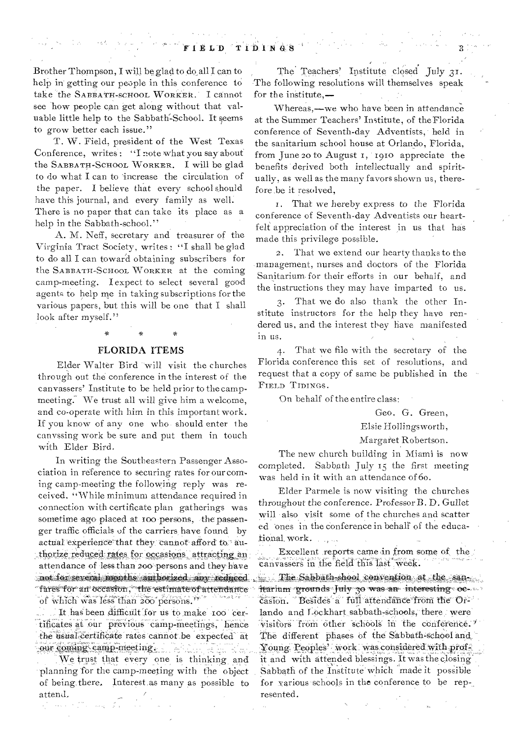Brother Thompson, I will be glad to do all I can to help in getting our people in this conference to take the SABBATH-SCHOOL WORKER. I cannot see how people can get along without that valuable little help to the Sabbath-School. It seems to grow better each issue."

T. W. Field, president of the West Texas Conference, writes: "I note what you say about the SABBATH-SCHOOL WORKER. I will be glad to do what I can to increase the circulation of the paper. I believe that every school should have this journal, and every family as well. There is no paper that can take its place as a help in the Sabbath-school."

A. M. Neff, secretary and treasurer of the Virginia Tract Society, writes : "I shall be glad to do all I can toward obtaining subscribers for the SABBATH-SCHOOL WORKER at the coming camp-meeting. I expect to select several good agents to help me in taking subscriptions for the various papers, but this will be one that I shall look after myself."

# FLORIDA ITEMS

Elder Walter Bird will visit the churches through out the conference in the interest of the canvassers' Institute to be held prior to the campmeeting. We trust all will give him a welcome, and co-operate with him in this important work. If you know of any one who should enter the canvssing work be sure and put them in touch with Elder Bird.

In writing the Southeastern Passenger Association in reference to securing rates for our coming camp-meeting the following reply was received. "While minimum attendance required in connection with certificate plan gatherings was sometime ago placed at too persons, the passenger traffic officials of the carriers have found by actual experience that they cannot afford to, authorize reduced rates for occasions attracting an attendance of less than 200 persons and they have *:31ot* for several month.s authorized *:t11 re..d* nee, 'fares for an occasion. the estimate of attendance of which was less than 200 persons."

It has been difficult for us to make 100 certificates at our previous camp-meetings, hence the usual certificate rates cannot be expected at our coming camp-meeting.

We trust that every one is thinking and planning Tor the camp-meeting with the object of being, there. Interestas many as possible to attend,  $\sqrt{2\pi}$ 

The Teachers' Institute closed July 31. The following resolutions will themselves speak for the institute,—

Whereas,—we who have been in attendance at the Summer Teachers' Institute, of the Florida conference of Seventh-day Adventists, held in the sanitarium school house at Orlando, Florida, from June 20 to August 1, 1910 appreciate the benefits derived both intellectually and spiritually, as well as the many favors shown us, therefore ,be it resolved,

i. That we hereby express to the Florida conference of Seventh-day Adventists our heartfelt appreciation of the interest in us that has made this privilege possible.

2. That we extend our hearty thanks to the management, nurses and doctors of the Florida Sanitarium- for their efforts in our behalf, and the instructions they may have imparted to us.

3. That we do also thank the other Institute instructors for the help they have rendered us, and the interest they have manifested in us.

4. That we file with the secretary of the Florida conference this set of resolutions, and request that a copy of same be published in the FIELD TIDINGS.

On behalf of the entire class:

Geo, G. Green,

# Elsie Hollingsworth,

Margaret Robertson.

The new church building in Miami is now completed. Sabbath July 13 the first meeting was held in it with an attendance of 6o.

Elder Parmele is now visiting the churches throughout the conference. Professor B. D. Gullet will also visit some of the churches and scatter ed ones in the conference in behalf of the educaiional, work.

Excellent reports came in from some of the canvassers In the field this lasf week:

The Sahhath-shool convention at the san,<br>itarium grounds July 30 was an interesting oe casion. Besides' a full attendance from the Orlando and Lockhart sabbath-schools, there were visitors from other schools in the conference. The different phases of the Sabbath-school and Young Peoples' work was considered with profit and with attended blessings. It was the closing . Sabbath of the Institute' which made it possible for various schools in the conference to be represented.